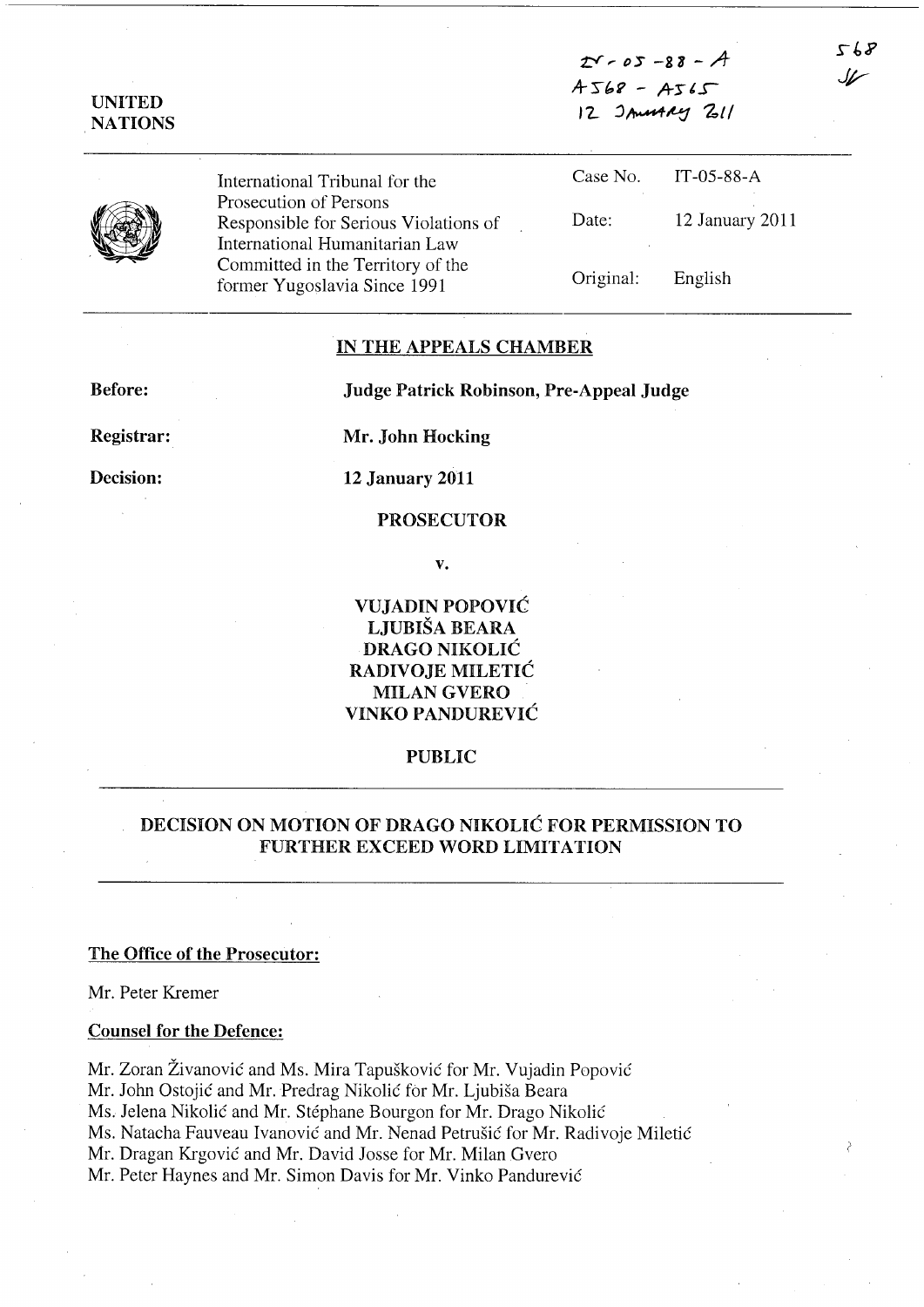$t - 05 - 88 - A$  $A568 - A565$ 12 JAMARY 211

UNITED NATIONS

> International Tribunal for the Prosecution of Persons Responsible for Serious Violations of International Humanitarian Law Committed in the Territory of the former Yugoslavia Since 1991

Case No. Date: IT-05-88-A 12 January 2011

Original: English

## IN THE APPEALS CHAMBER

Before: Judge Patrick Robinson, Pre-Appeal Judge

Registrar:

Decision:

Mr. John Hocking

12 January 2011

### PROSECUTOR

v.

VUJADIN POPOVIC LJUBISA BEARA DRAGO NIKOLIC RADIVOJE MILETIC MILAN GVERO VINKO PANDUREVIC

### PUBLIC

# DECISION ON MOTION OF DRAGO NIKOLIC FOR PERMISSION TO FURTHER EXCEED WORD LIMITATION

#### The Office of the Prosecutor:

Mr. Peter Kremer

## Counsel for the Defence:

Mr. Zoran Živanović and Ms. Mira Tapušković for Mr. Vujadin Popović Mr. John Ostojić and Mr. Predrag Nikolić for Mr. Ljubiša Beara Ms. Jelena Nikolic and Mr. Stephane Bourgon for Mr. Drago Nikolic Ms. Natacha Fauveau Ivanovic and Mr. Nenad Petrusic for Mr. Radivoje Miletic

Mr. Dragan Krgovic and Mr. David Josse for Mr. Milan Gvero

Mr. Peter Haynes and Mr. Simon Davis for Mr. Vinko Pandurevic

568 سمك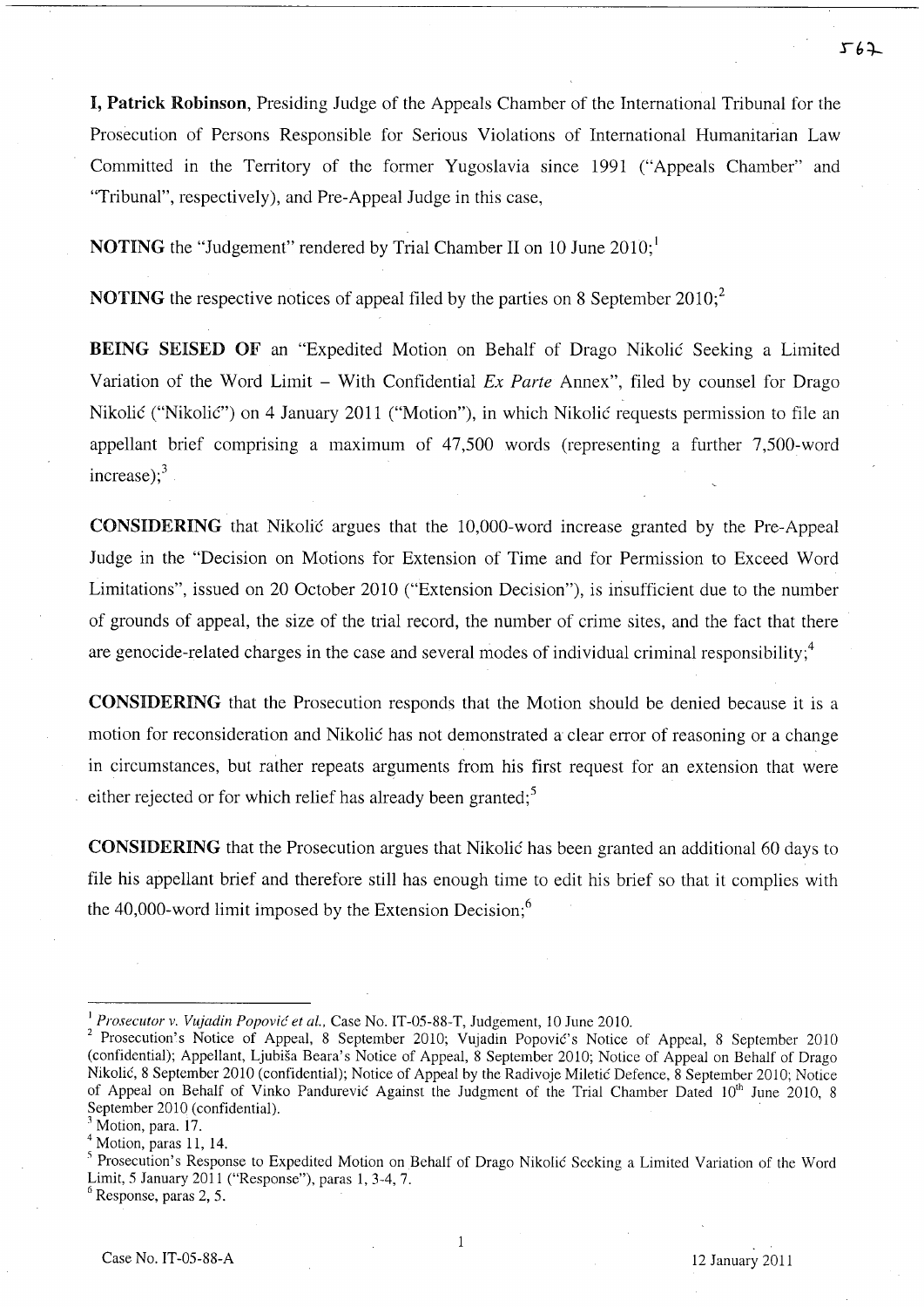I, Patrick Robinson, Presiding Judge of the Appeals Chamber of the International Tribunal for the Prosecution of Persons Responsible for Serious Violations of International Humanitarian Law Committed in the Territory of the former Yugoslavia since 1991 ("Appeals Chamber" and "Tribunal", respectively), and Pre-Appeal Judge in this case,

**NOTING** the "Judgement" rendered by Trial Chamber II on 10 June  $2010$ ;

**NOTING** the respective notices of appeal filed by the parties on 8 September  $2010$ ;<sup>2</sup>

BEING SEISED OF an "Expedited Motion on Behalf of Drago Nikolic Seeking a Limited Variation of the Word Limit – With Confidential *Ex Parte* Annex", filed by counsel for Drago Nikolić ("Nikolić") on 4 January 2011 ("Motion"), in which Nikolić requests permission to file an appellant brief comprising a maximum of 47,500 words (representing a further 7,500-word increase); $3$ 

CONSIDERING that Nikolic argues that the 1O,000-word increase granted by the Pre-Appeal Judge in the "Decision on Motions for Extension of Time and for Permission to Exceed Word Limitations", issued on 20 October 2010 ("Extension Decision"), is insufficient due to the number of grounds of appeal, the size of the trial record, the number of crime sites, and the fact that there are genocide-related charges in the case and several modes of individual criminal responsibility; $\frac{4}{3}$ 

CONSIDERING that the Prosecution responds that the Motion should be denied because it is a motion for reconsideration and Nikolic has not demonstrated a clear error of reasoning or a change in circumstances, but rather repeats arguments from his first request for an extension that were either rejected or for which relief has already been granted;<sup>5</sup>

CONSIDERING that the Prosecution argues that Nikolic has been granted an additional 60 days to file his appellant brief and therefore still has enough time to edit his brief so that it complies with the 40,000-word limit imposed by the Extension Decision; $^6$ 

 $\mathbf{1}$ 

<sup>&</sup>lt;sup>1</sup> Prosecutor v. Vujadin Popović et al., Case No. IT-05-88-T, Judgement, 10 June 2010.

<sup>&</sup>lt;sup>2</sup> Prosecution's Notice of Appeal, 8 September 2010; Vujadin Popović's Notice of Appeal, 8 September 2010 (confidential); Appellant, Ljubisa Beara's Notice of Appeal, 8 September 2010; Notice of Appeal on Behalf of Drago Nikolic, 8 September 2010 (confidential); Notice of Appeal by the Radivoje Miletic Defence, 8 September 2010; Notice of Appeal on Behalf of Vinko Pandurevic Against the Judgment of the Trial Chamber Dated 10<sup>th</sup> June 2010, 8 September 2010 (confidential).

Motion, para. 17.

 $<sup>4</sup>$  Motion, paras 11, 14.</sup>

<sup>5</sup> Prosecution's Response to Expedited Motion on Behalf of Drago Nikolic Seeking a Limited Variation of the Word Limit, 5 January 2011 ("Response"), paras 1,3-4,7.

 $<sup>6</sup>$  Response, paras 2, 5.</sup>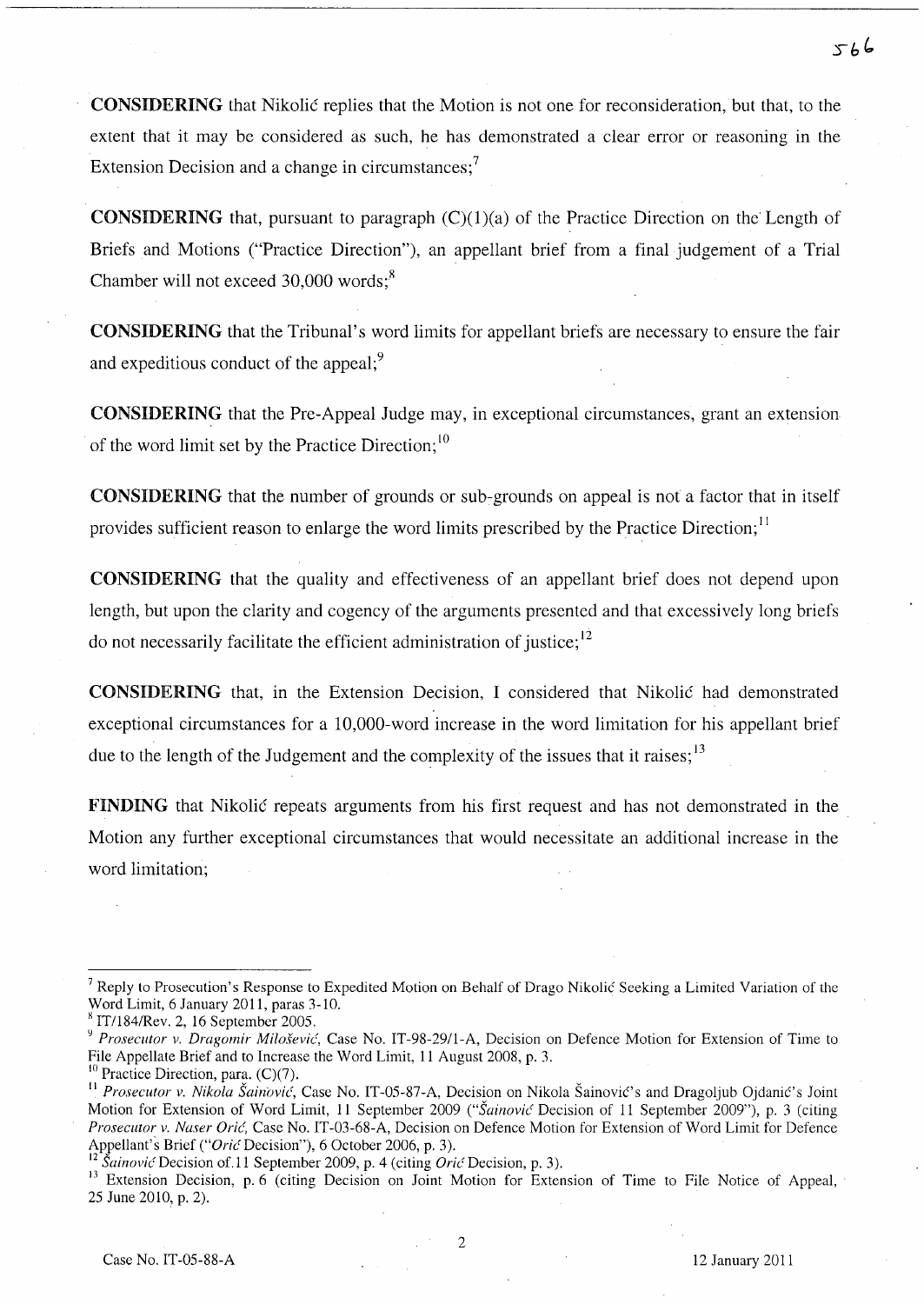CONSIDERING that Nikolic replies that the Motion is not one for reconsideration, but that, to the extent that it may be considered as such, he has demonstrated a clear error or reasoning in the Extension Decision and a change in circumstances; $\frac{7}{1}$ 

**CONSIDERING** that, pursuant to paragraph  $(C)(1)(a)$  of the Practice Direction on the Length of Briefs and Motions ("Practice Direction"), an appellant brief from a final judgement of a Trial Chamber will not exceed  $30,000$  words;<sup>8</sup>

CONSIDERING that the Tribunal's word limits for appellant briefs are necessary to ensure the fair and expeditious conduct of the appeal;<sup>9</sup>

CONSIDERING that the Pre-Appeal Judge may, in exceptional circumstances, grant an extension of the word limit set by the Practice Direction;<sup>10</sup>

CONSIDERING that the number of grounds or sub-grounds on appeal is not a factor that in itself provides sufficient reason to enlarge the word limits prescribed by the Practice Direction;<sup>11</sup>

CONSIDERING that the quality and effectiveness of an appellant brief does not depend upon length, but upon the clarity and cogency of the arguments presented and that excessively long briefs do not necessarily facilitate the efficient administration of justice;  $12$ 

CONSIDERING that, in the Extension Decision, I considered that Nikolic had demonstrated exceptional circumstances for a 1O,000-word increase in the word limitation for his appellant brief due to the length of the Judgement and the complexity of the issues that it raises;  $13$ 

FINDING that Nikolic repeats arguments from his first request and has not demonstrated in the Motion any further exceptional circumstances that would necessitate an additional increase in the word limitation;

2

<sup>&</sup>lt;sup>7</sup> Reply to Prosecution's Response to Expedited Motion on Behalf of Drago Nikolic Seeking a Limited Variation of the Word Limit, 6 January 2011, paras 3-10.

x IT/1S4/Rev. 2, 16 September 2005.

<sup>&</sup>lt;sup>9</sup> Prosecutor v. Dragomir Milošević, Case No. IT-98-29/1-A, Decision on Defence Motion for Extension of Time to File Appellate Brief and to Increase the Word Limit, 11 August 200S, p. 3.

 $10$  Practice Direction, para. (C)(7).

<sup>&</sup>lt;sup>11</sup> Prosecutor v. Nikola Šainović, Case No. IT-05-87-A, Decision on Nikola Šainović's and Dragoljub Ojdanić's Joint Motion for Extension of Word Limit, 11 September 2009 *("Sainovic* Decision of 11 September 2009"), p. 3 (citing *Prosecutor v. Naser Oric(,* Case No. IT-03-6S-A, Decision on Defence Motion for Extension of Word Limit for Defence Appellant's Brief *("Oric* Decision"), 6 October 2006, p. 3).

<sup>12</sup>*SainovicDecision* of. 11 September 2009, p. 4 (citing *OricDecision,* p. 3).

<sup>&</sup>lt;sup>13</sup> Extension Decision, p. 6 (citing Decision on Joint Motion for Extension of Time to File Notice of Appeal, 25 June 2010, p. 2).